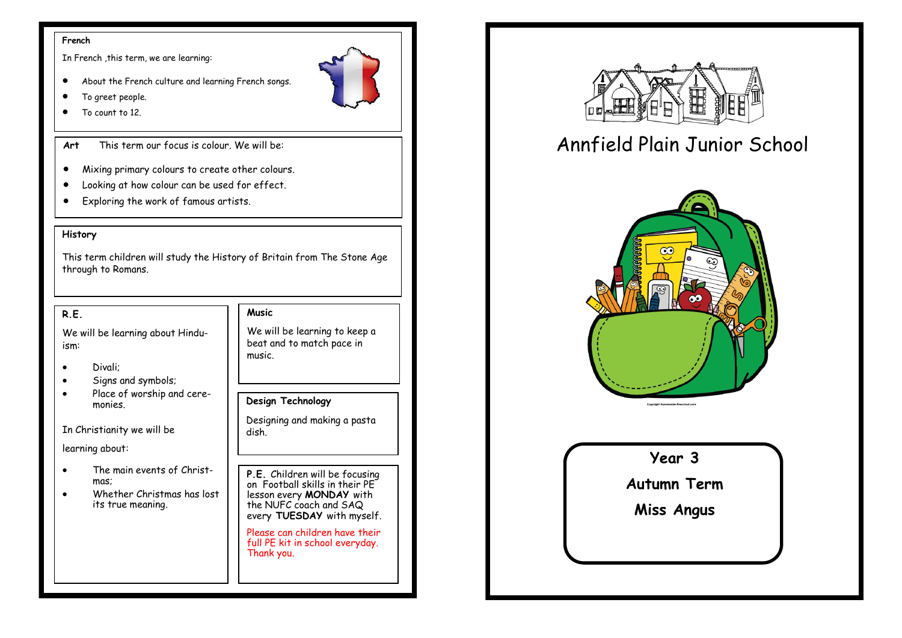#### **French**

In French ,this term, we are learning:

- About the French culture and learning French songs.
- To greet people.
- To count to 12.

**Art** This term our focus is colour. We will be:

- Mixing primary colours to create other colours.
- Looking at how colour can be used for effect.
- Exploring the work of famous artists.

#### **History**

This term children will study the History of Britain from The Stone Age through to Romans.

#### **R.E.**

We will be learning about Hinduism:

- Divali;
- Signs and symbols;
- Place of worship and ceremonies.

In Christianity we will be

learning about:

- The main events of Christmas;
- Whether Christmas has lost its true meaning.

#### **Music**

We will be learning to keep a beat and to match pace in music.

#### **Design Technology**

Designing and making a pasta dish.

**P.E.** Children will be focusing on Football skills in their PE lesson every **MONDAY** with the NUFC coach and SAQ every **TUESDAY** with myself.

Please can children have their full PE kit in school everyday. Thank you.



# Annfield Plain Junior School



## **Year 3**

**Autumn Term**

**Miss Angus**